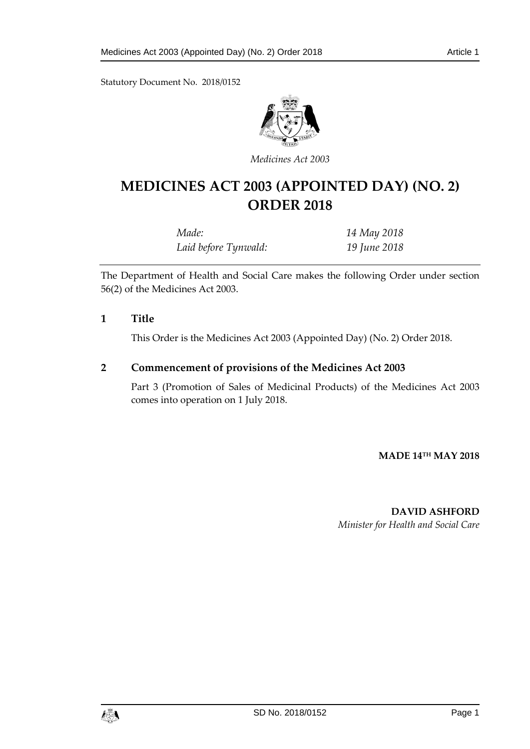Statutory Document No. 2018/0152



*Medicines Act 2003*

# **MEDICINES ACT 2003 (APPOINTED DAY) (NO. 2) ORDER 2018**

| Made:                | 14 May 2018  |
|----------------------|--------------|
| Laid before Tynwald: | 19 June 2018 |

The Department of Health and Social Care makes the following Order under section 56(2) of the Medicines Act 2003.

#### **1 Title**

This Order is the Medicines Act 2003 (Appointed Day) (No. 2) Order 2018.

## **2 Commencement of provisions of the Medicines Act 2003**

Part 3 (Promotion of Sales of Medicinal Products) of the Medicines Act 2003 comes into operation on 1 July 2018.

**MADE 14TH MAY 2018**

#### **DAVID ASHFORD**

*Minister for Health and Social Care*